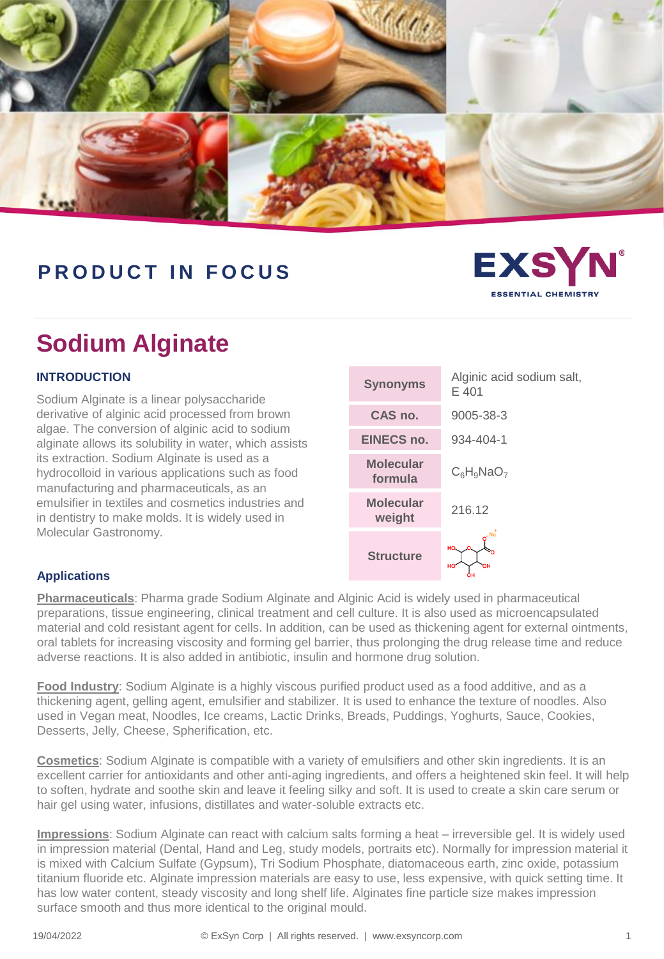

## **P R O D U C T I N F O C U S**

# **Sodium Alginate**

### **INTRODUCTION**

Sodium Alginate is a linear polysaccharide derivative of alginic acid processed from brown algae. The conversion of alginic acid to sodium alginate allows its solubility in water, which assists its extraction. Sodium Alginate is used as a hydrocolloid in various applications such as food manufacturing and pharmaceuticals, as an emulsifier in textiles and cosmetics industries and in dentistry to make molds. It is widely used in Molecular Gastronomy.

| <b>Synonyms</b>             | Alginic acid sodium salt,<br>E 401 |
|-----------------------------|------------------------------------|
| CAS no.                     | 9005-38-3                          |
| EINECS no.                  | 934-404-1                          |
| <b>Molecular</b><br>formula | $C_6H_9NaO_7$                      |
| <b>Molecular</b><br>weight  | 216.12                             |
| <b>Structure</b>            | $-$ Na<br>HO.<br>HO<br>ΟН          |

**EXSY** 

**SSENTIAL CHEMISTE** 

### **Applications**

**Pharmaceuticals**: Pharma grade Sodium Alginate and Alginic Acid is widely used in pharmaceutical preparations, tissue engineering, clinical treatment and cell culture. It is also used as microencapsulated material and cold resistant agent for cells. In addition, can be used as thickening agent for external ointments, oral tablets for increasing viscosity and forming gel barrier, thus prolonging the drug release time and reduce adverse reactions. It is also added in antibiotic, insulin and hormone drug solution.

**Food Industry**: Sodium Alginate is a highly viscous purified product used as a food additive, and as a thickening agent, gelling agent, emulsifier and stabilizer. It is used to enhance the texture of noodles. Also used in Vegan meat, Noodles, Ice creams, Lactic Drinks, Breads, Puddings, Yoghurts, Sauce, Cookies, Desserts, Jelly, Cheese, Spherification, etc.

**Cosmetics**: Sodium Alginate is compatible with a variety of emulsifiers and other skin ingredients. It is an excellent carrier for antioxidants and other anti-aging ingredients, and offers a heightened skin feel. It will help to soften, hydrate and soothe skin and leave it feeling silky and soft. It is used to create a skin care serum or hair gel using water, infusions, distillates and water-soluble extracts etc.

**Impressions**: Sodium Alginate can react with calcium salts forming a heat – irreversible gel. It is widely used in impression material (Dental, Hand and Leg, study models, portraits etc). Normally for impression material it is mixed with Calcium Sulfate (Gypsum), Tri Sodium Phosphate, diatomaceous earth, zinc oxide, potassium titanium fluoride etc. Alginate impression materials are easy to use, less expensive, with quick setting time. It has low water content, steady viscosity and long shelf life. Alginates fine particle size makes impression surface smooth and thus more identical to the original mould.